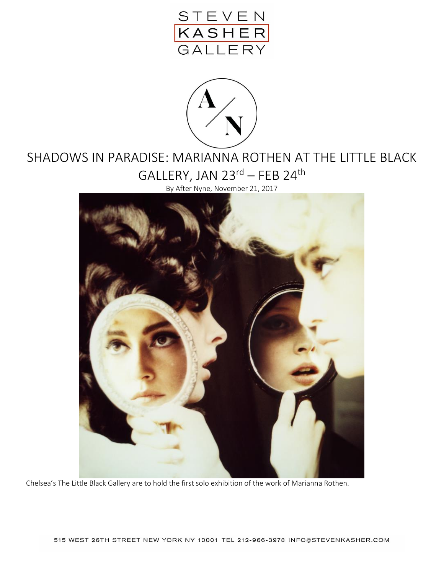



## SHADOWS IN PARADISE: MARIANNA ROTHEN AT THE LITTLE BLACK GALLERY, JAN 23rd – FEB 24th

By After Nyne, November 21, 2017



Chelsea's The Little Black Gallery are to hold the first solo exhibition of the work of Marianna Rothen.